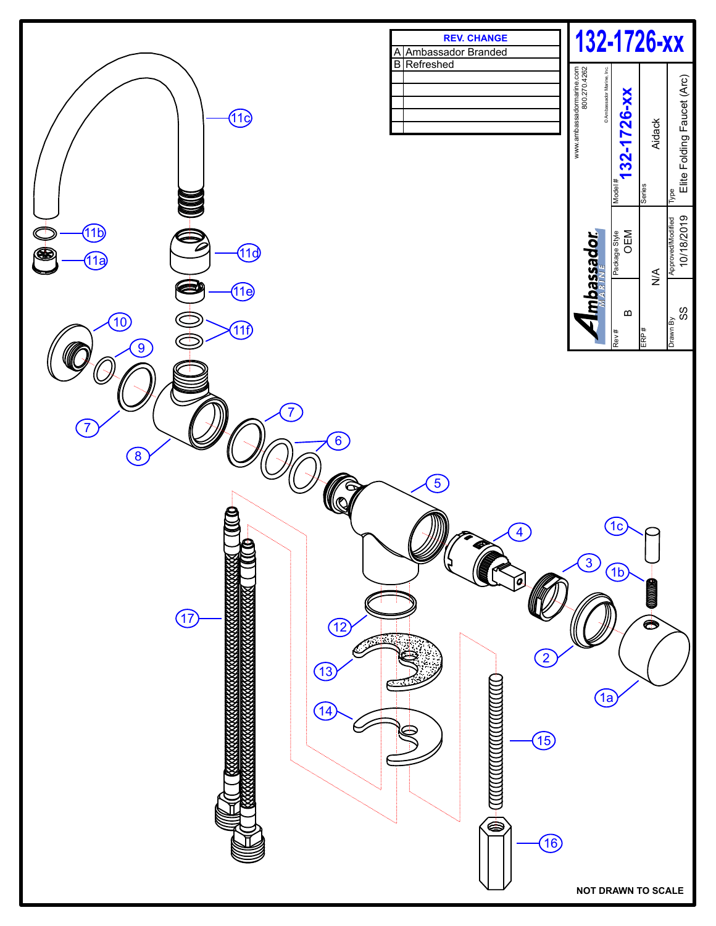